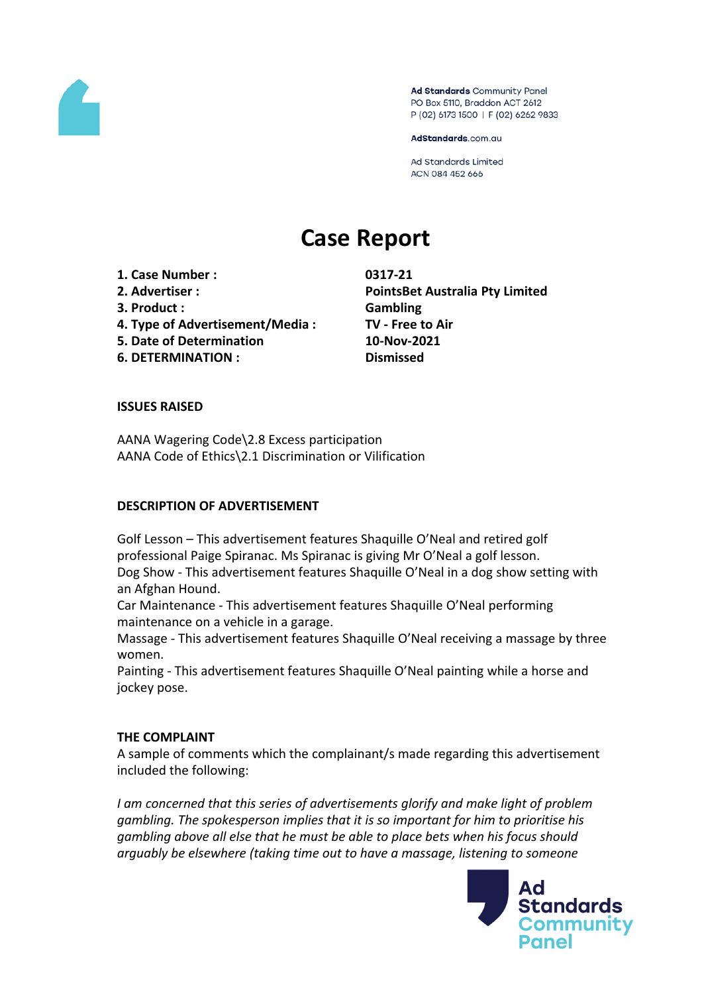

Ad Standards Community Panel PO Box 5110, Braddon ACT 2612 P (02) 6173 1500 | F (02) 6262 9833

AdStandards.com.au

Ad Standards Limited ACN 084 452 666

# **Case Report**

**1. Case Number : 0317-21**

- 
- 
- **4. Type of Advertisement/Media : TV - Free to Air**
- **5. Date of Determination 10-Nov-2021**
- **6. DETERMINATION : Dismissed**

**2. Advertiser : PointsBet Australia Pty Limited 3. Product : Gambling**

# **ISSUES RAISED**

AANA Wagering Code\2.8 Excess participation AANA Code of Ethics\2.1 Discrimination or Vilification

# **DESCRIPTION OF ADVERTISEMENT**

Golf Lesson – This advertisement features Shaquille O'Neal and retired golf professional Paige Spiranac. Ms Spiranac is giving Mr O'Neal a golf lesson. Dog Show - This advertisement features Shaquille O'Neal in a dog show setting with an Afghan Hound.

Car Maintenance - This advertisement features Shaquille O'Neal performing maintenance on a vehicle in a garage.

Massage - This advertisement features Shaquille O'Neal receiving a massage by three women.

Painting - This advertisement features Shaquille O'Neal painting while a horse and jockey pose.

# **THE COMPLAINT**

A sample of comments which the complainant/s made regarding this advertisement included the following:

*I am concerned that this series of advertisements glorify and make light of problem gambling. The spokesperson implies that it is so important for him to prioritise his gambling above all else that he must be able to place bets when his focus should arguably be elsewhere (taking time out to have a massage, listening to someone*

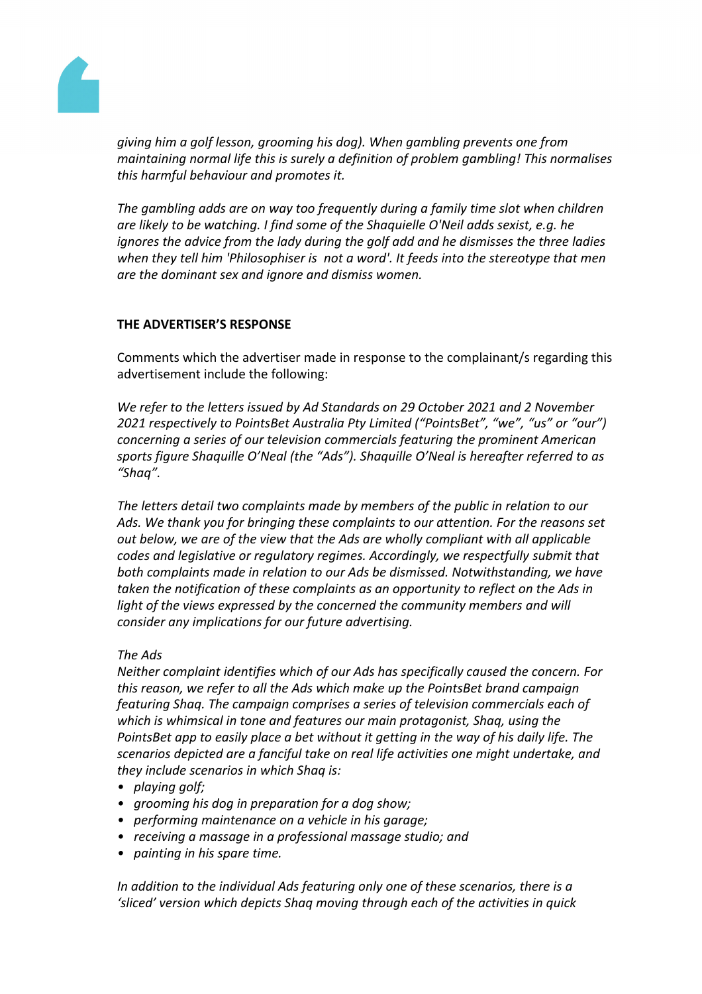

*giving him a golf lesson, grooming his dog). When gambling prevents one from maintaining normal life this is surely a definition of problem gambling! This normalises this harmful behaviour and promotes it.*

*The gambling adds are on way too frequently during a family time slot when children are likely to be watching. I find some of the Shaquielle O'Neil adds sexist, e.g. he ignores the advice from the lady during the golf add and he dismisses the three ladies when they tell him 'Philosophiser is not a word'. It feeds into the stereotype that men are the dominant sex and ignore and dismiss women.*

# **THE ADVERTISER'S RESPONSE**

Comments which the advertiser made in response to the complainant/s regarding this advertisement include the following:

*We refer to the letters issued by Ad Standards on 29 October 2021 and 2 November 2021 respectively to PointsBet Australia Pty Limited ("PointsBet", "we", "us" or "our") concerning a series of our television commercials featuring the prominent American sports figure Shaquille O'Neal (the "Ads"). Shaquille O'Neal is hereafter referred to as "Shaq".*

*The letters detail two complaints made by members of the public in relation to our Ads. We thank you for bringing these complaints to our attention. For the reasons set out below, we are of the view that the Ads are wholly compliant with all applicable codes and legislative or regulatory regimes. Accordingly, we respectfully submit that both complaints made in relation to our Ads be dismissed. Notwithstanding, we have taken the notification of these complaints as an opportunity to reflect on the Ads in light of the views expressed by the concerned the community members and will consider any implications for our future advertising.*

# *The Ads*

*Neither complaint identifies which of our Ads has specifically caused the concern. For this reason, we refer to all the Ads which make up the PointsBet brand campaign featuring Shaq. The campaign comprises a series of television commercials each of which is whimsical in tone and features our main protagonist, Shaq, using the PointsBet app to easily place a bet without it getting in the way of his daily life. The scenarios depicted are a fanciful take on real life activities one might undertake, and they include scenarios in which Shaq is:*

- *• playing golf;*
- *• grooming his dog in preparation for a dog show;*
- *• performing maintenance on a vehicle in his garage;*
- *• receiving a massage in a professional massage studio; and*
- *• painting in his spare time.*

*In addition to the individual Ads featuring only one of these scenarios, there is a 'sliced' version which depicts Shaq moving through each of the activities in quick*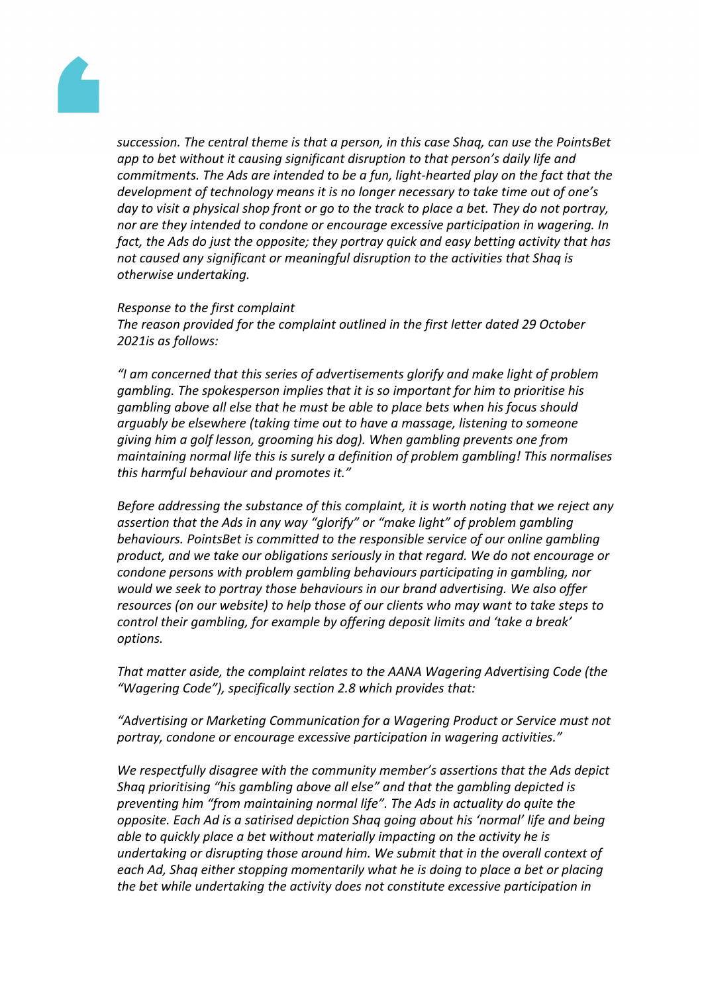

*succession. The central theme is that a person, in this case Shaq, can use the PointsBet app to bet without it causing significant disruption to that person's daily life and commitments. The Ads are intended to be a fun, light-hearted play on the fact that the development of technology means it is no longer necessary to take time out of one's* day to visit a physical shop front or go to the track to place a bet. They do not portray, *nor are they intended to condone or encourage excessive participation in wagering. In fact, the Ads do just the opposite; they portray quick and easy betting activity that has not caused any significant or meaningful disruption to the activities that Shaq is otherwise undertaking.*

*Response to the first complaint The reason provided for the complaint outlined in the first letter dated 29 October 2021is as follows:*

*"I am concerned that this series of advertisements glorify and make light of problem gambling. The spokesperson implies that it is so important for him to prioritise his gambling above all else that he must be able to place bets when his focus should arguably be elsewhere (taking time out to have a massage, listening to someone giving him a golf lesson, grooming his dog). When gambling prevents one from maintaining normal life this is surely a definition of problem gambling! This normalises this harmful behaviour and promotes it."*

*Before addressing the substance of this complaint, it is worth noting that we reject any assertion that the Ads in any way "glorify" or "make light" of problem gambling behaviours. PointsBet is committed to the responsible service of our online gambling product, and we take our obligations seriously in that regard. We do not encourage or condone persons with problem gambling behaviours participating in gambling, nor would we seek to portray those behaviours in our brand advertising. We also offer resources (on our website) to help those of our clients who may want to take steps to control their gambling, for example by offering deposit limits and 'take a break' options.*

*That matter aside, the complaint relates to the AANA Wagering Advertising Code (the "Wagering Code"), specifically section 2.8 which provides that:*

*"Advertising or Marketing Communication for a Wagering Product or Service must not portray, condone or encourage excessive participation in wagering activities."*

*We respectfully disagree with the community member's assertions that the Ads depict Shaq prioritising "his gambling above all else" and that the gambling depicted is preventing him "from maintaining normal life". The Ads in actuality do quite the opposite. Each Ad is a satirised depiction Shaq going about his 'normal' life and being able to quickly place a bet without materially impacting on the activity he is undertaking or disrupting those around him. We submit that in the overall context of each Ad, Shaq either stopping momentarily what he is doing to place a bet or placing the bet while undertaking the activity does not constitute excessive participation in*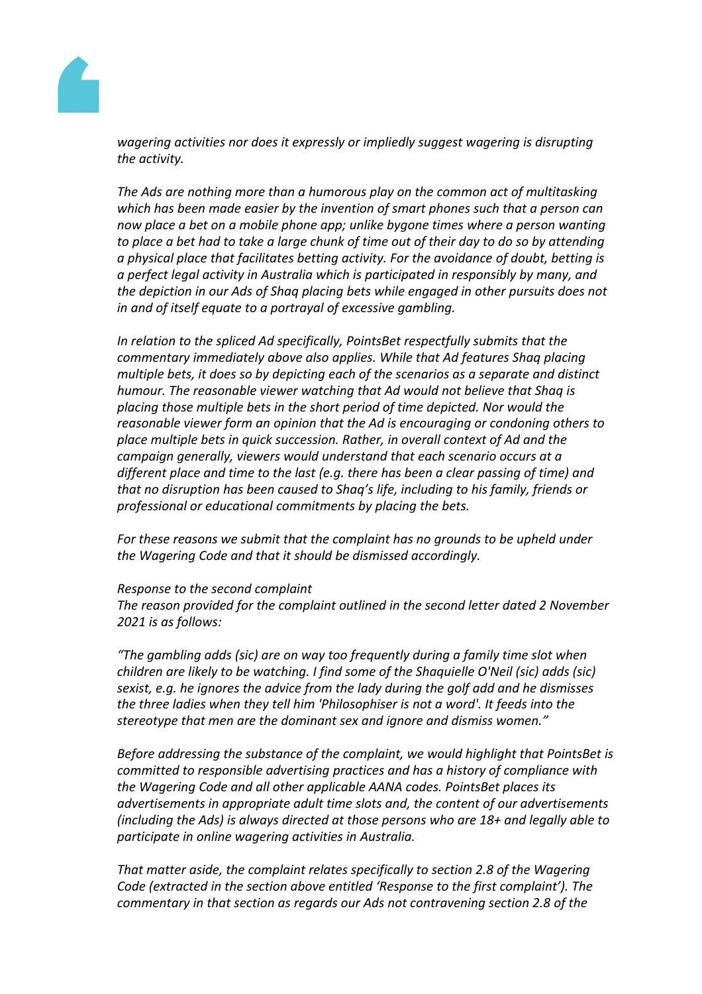

*wagering activities nor does it expressly or impliedly suggest wagering is disrupting the activity.*

*The Ads are nothing more than a humorous play on the common act of multitasking which has been made easier by the invention of smart phones such that a person can now place a bet on a mobile phone app; unlike bygone times where a person wanting* to place a bet had to take a large chunk of time out of their day to do so by attending *a physical place that facilitates betting activity. For the avoidance of doubt, betting is a perfect legal activity in Australia which is participated in responsibly by many, and the depiction in our Ads of Shaq placing bets while engaged in other pursuits does not in and of itself equate to a portrayal of excessive gambling.*

*In relation to the spliced Ad specifically, PointsBet respectfully submits that the commentary immediately above also applies. While that Ad features Shaq placing multiple bets, it does so by depicting each of the scenarios as a separate and distinct humour. The reasonable viewer watching that Ad would not believe that Shaq is placing those multiple bets in the short period of time depicted. Nor would the reasonable viewer form an opinion that the Ad is encouraging or condoning others to place multiple bets in quick succession. Rather, in overall context of Ad and the campaign generally, viewers would understand that each scenario occurs at a different place and time to the last (e.g. there has been a clear passing of time) and that no disruption has been caused to Shaq's life, including to his family, friends or professional or educational commitments by placing the bets.*

*For these reasons we submit that the complaint has no grounds to be upheld under the Wagering Code and that it should be dismissed accordingly.*

#### *Response to the second complaint*

*The reason provided for the complaint outlined in the second letter dated 2 November 2021 is as follows:*

*"The gambling adds (sic) are on way too frequently during a family time slot when children are likely to be watching. I find some of the Shaquielle O'Neil (sic) adds (sic) sexist, e.g. he ignores the advice from the lady during the golf add and he dismisses the three ladies when they tell him 'Philosophiser is not a word'. It feeds into the stereotype that men are the dominant sex and ignore and dismiss women."*

*Before addressing the substance of the complaint, we would highlight that PointsBet is committed to responsible advertising practices and has a history of compliance with the Wagering Code and all other applicable AANA codes. PointsBet places its advertisements in appropriate adult time slots and, the content of our advertisements (including the Ads) is always directed at those persons who are 18+ and legally able to participate in online wagering activities in Australia.*

*That matter aside, the complaint relates specifically to section 2.8 of the Wagering Code (extracted in the section above entitled 'Response to the first complaint'). The commentary in that section as regards our Ads not contravening section 2.8 of the*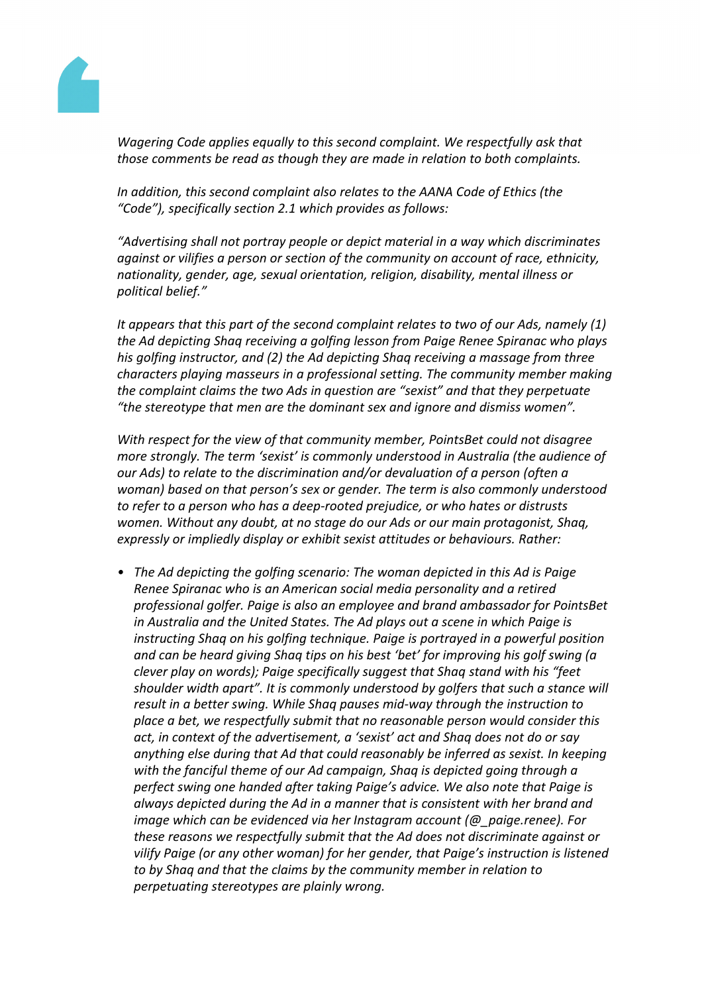

*Wagering Code applies equally to this second complaint. We respectfully ask that those comments be read as though they are made in relation to both complaints.*

*In addition, this second complaint also relates to the AANA Code of Ethics (the "Code"), specifically section 2.1 which provides as follows:*

*"Advertising shall not portray people or depict material in a way which discriminates against or vilifies a person or section of the community on account of race, ethnicity, nationality, gender, age, sexual orientation, religion, disability, mental illness or political belief."*

*It appears that this part of the second complaint relates to two of our Ads, namely (1) the Ad depicting Shaq receiving a golfing lesson from Paige Renee Spiranac who plays his golfing instructor, and (2) the Ad depicting Shaq receiving a massage from three characters playing masseurs in a professional setting. The community member making the complaint claims the two Ads in question are "sexist" and that they perpetuate "the stereotype that men are the dominant sex and ignore and dismiss women".*

*With respect for the view of that community member, PointsBet could not disagree more strongly. The term 'sexist' is commonly understood in Australia (the audience of our Ads) to relate to the discrimination and/or devaluation of a person (often a woman) based on that person's sex or gender. The term is also commonly understood to refer to a person who has a deep-rooted prejudice, or who hates or distrusts women. Without any doubt, at no stage do our Ads or our main protagonist, Shaq, expressly or impliedly display or exhibit sexist attitudes or behaviours. Rather:*

*• The Ad depicting the golfing scenario: The woman depicted in this Ad is Paige Renee Spiranac who is an American social media personality and a retired professional golfer. Paige is also an employee and brand ambassador for PointsBet in Australia and the United States. The Ad plays out a scene in which Paige is instructing Shaq on his golfing technique. Paige is portrayed in a powerful position and can be heard giving Shaq tips on his best 'bet' for improving his golf swing (a clever play on words); Paige specifically suggest that Shaq stand with his "feet shoulder width apart". It is commonly understood by golfers that such a stance will result in a better swing. While Shaq pauses mid-way through the instruction to place a bet, we respectfully submit that no reasonable person would consider this act, in context of the advertisement, a 'sexist' act and Shaq does not do or say anything else during that Ad that could reasonably be inferred as sexist. In keeping with the fanciful theme of our Ad campaign, Shaq is depicted going through a perfect swing one handed after taking Paige's advice. We also note that Paige is always depicted during the Ad in a manner that is consistent with her brand and image which can be evidenced via her Instagram account (@\_paige.renee). For these reasons we respectfully submit that the Ad does not discriminate against or vilify Paige (or any other woman) for her gender, that Paige's instruction is listened to by Shaq and that the claims by the community member in relation to perpetuating stereotypes are plainly wrong.*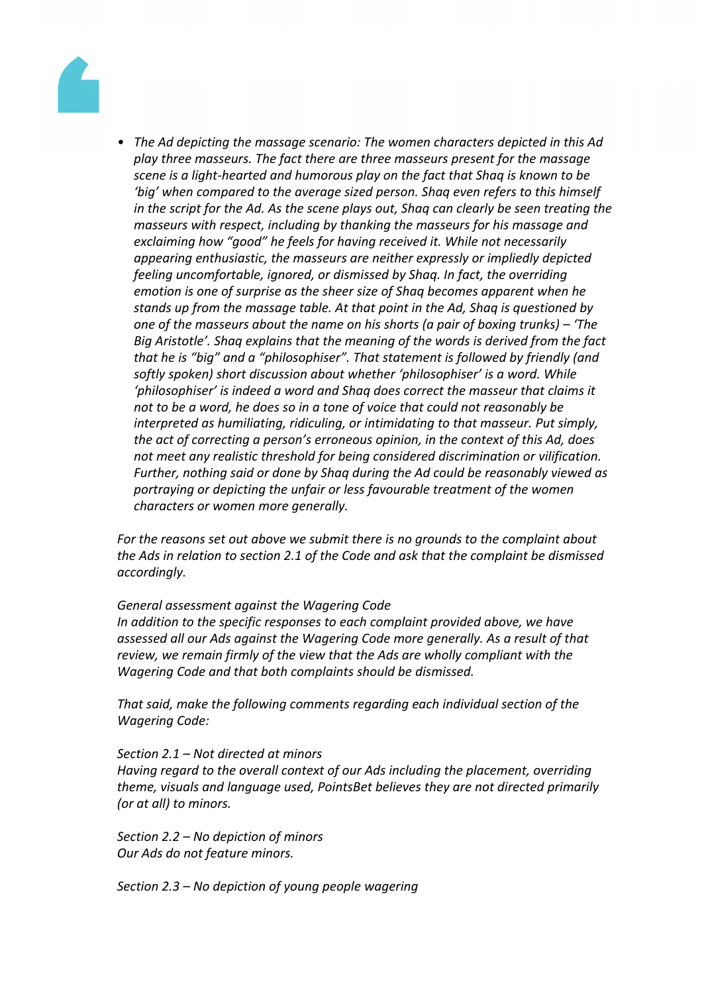

*• The Ad depicting the massage scenario: The women characters depicted in this Ad play three masseurs. The fact there are three masseurs present for the massage scene is a light-hearted and humorous play on the fact that Shaq is known to be 'big' when compared to the average sized person. Shaq even refers to this himself in the script for the Ad. As the scene plays out, Shaq can clearly be seen treating the masseurs with respect, including by thanking the masseurs for his massage and exclaiming how "good" he feels for having received it. While not necessarily appearing enthusiastic, the masseurs are neither expressly or impliedly depicted feeling uncomfortable, ignored, or dismissed by Shaq. In fact, the overriding emotion is one of surprise as the sheer size of Shaq becomes apparent when he stands up from the massage table. At that point in the Ad, Shaq is questioned by one of the masseurs about the name on his shorts (a pair of boxing trunks) – 'The Big Aristotle'. Shaq explains that the meaning of the words is derived from the fact that he is "big" and a "philosophiser". That statement is followed by friendly (and softly spoken) short discussion about whether 'philosophiser' is a word. While 'philosophiser' is indeed a word and Shaq does correct the masseur that claims it not to be a word, he does so in a tone of voice that could not reasonably be interpreted as humiliating, ridiculing, or intimidating to that masseur. Put simply, the act of correcting a person's erroneous opinion, in the context of this Ad, does not meet any realistic threshold for being considered discrimination or vilification. Further, nothing said or done by Shaq during the Ad could be reasonably viewed as portraying or depicting the unfair or less favourable treatment of the women characters or women more generally.*

*For the reasons set out above we submit there is no grounds to the complaint about the Ads in relation to section 2.1 of the Code and ask that the complaint be dismissed accordingly.*

#### *General assessment against the Wagering Code*

*In addition to the specific responses to each complaint provided above, we have assessed all our Ads against the Wagering Code more generally. As a result of that review, we remain firmly of the view that the Ads are wholly compliant with the Wagering Code and that both complaints should be dismissed.*

*That said, make the following comments regarding each individual section of the Wagering Code:*

#### *Section 2.1 – Not directed at minors*

*Having regard to the overall context of our Ads including the placement, overriding theme, visuals and language used, PointsBet believes they are not directed primarily (or at all) to minors.*

*Section 2.2 – No depiction of minors Our Ads do not feature minors.*

*Section 2.3 – No depiction of young people wagering*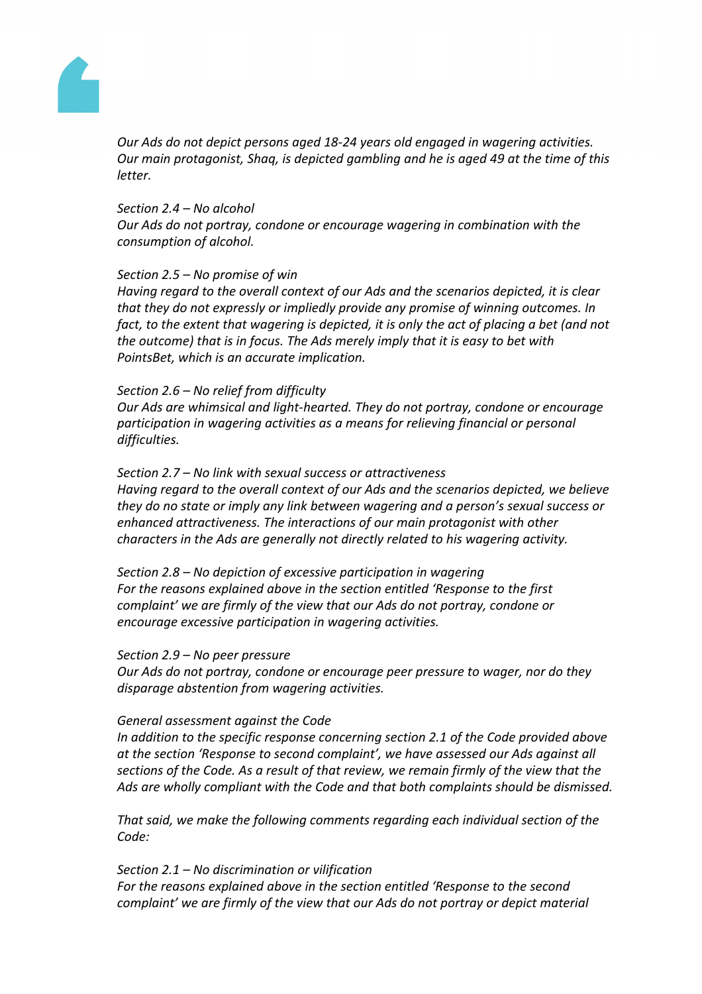

*Our Ads do not depict persons aged 18-24 years old engaged in wagering activities. Our main protagonist, Shaq, is depicted gambling and he is aged 49 at the time of this letter.*

#### *Section 2.4 – No alcohol*

*Our Ads do not portray, condone or encourage wagering in combination with the consumption of alcohol.*

#### *Section 2.5 – No promise of win*

*Having regard to the overall context of our Ads and the scenarios depicted, it is clear that they do not expressly or impliedly provide any promise of winning outcomes. In fact, to the extent that wagering is depicted, it is only the act of placing a bet (and not the outcome) that is in focus. The Ads merely imply that it is easy to bet with PointsBet, which is an accurate implication.*

# *Section 2.6 – No relief from difficulty*

*Our Ads are whimsical and light-hearted. They do not portray, condone or encourage participation in wagering activities as a means for relieving financial or personal difficulties.*

*Section 2.7 – No link with sexual success or attractiveness Having regard to the overall context of our Ads and the scenarios depicted, we believe they do no state or imply any link between wagering and a person's sexual success or enhanced attractiveness. The interactions of our main protagonist with other characters in the Ads are generally not directly related to his wagering activity.*

*Section 2.8 – No depiction of excessive participation in wagering For the reasons explained above in the section entitled 'Response to the first complaint' we are firmly of the view that our Ads do not portray, condone or encourage excessive participation in wagering activities.*

#### *Section 2.9 – No peer pressure*

*Our Ads do not portray, condone or encourage peer pressure to wager, nor do they disparage abstention from wagering activities.*

#### *General assessment against the Code*

*In addition to the specific response concerning section 2.1 of the Code provided above at the section 'Response to second complaint', we have assessed our Ads against all sections of the Code. As a result of that review, we remain firmly of the view that the Ads are wholly compliant with the Code and that both complaints should be dismissed.*

*That said, we make the following comments regarding each individual section of the Code:*

*Section 2.1 – No discrimination or vilification For the reasons explained above in the section entitled 'Response to the second complaint' we are firmly of the view that our Ads do not portray or depict material*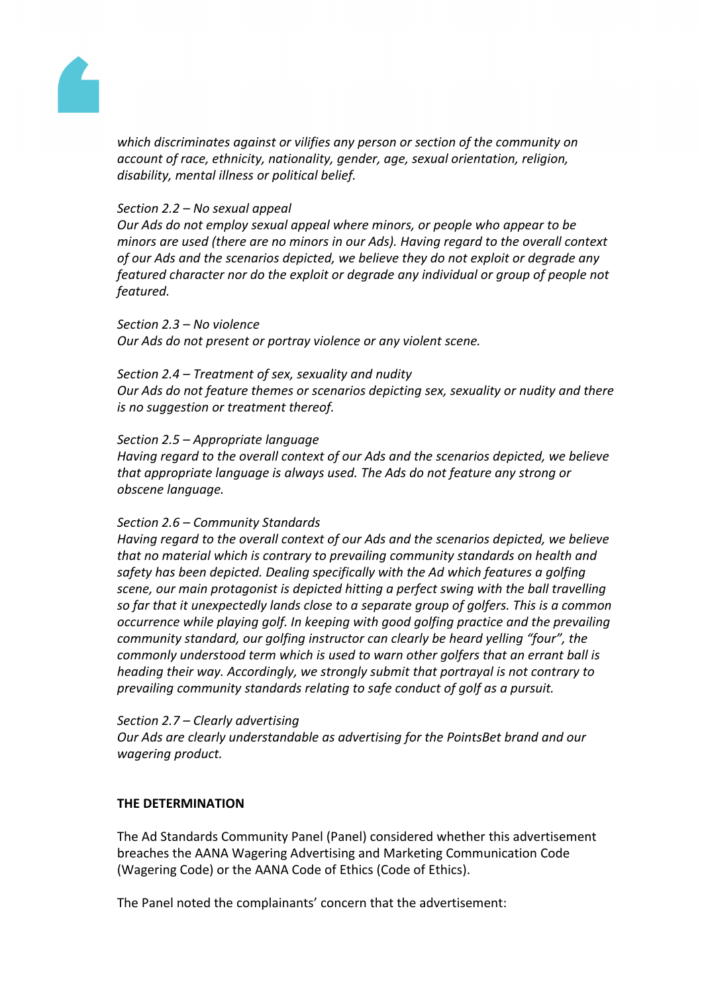

*which discriminates against or vilifies any person or section of the community on account of race, ethnicity, nationality, gender, age, sexual orientation, religion, disability, mental illness or political belief.*

# *Section 2.2 – No sexual appeal*

*Our Ads do not employ sexual appeal where minors, or people who appear to be minors are used (there are no minors in our Ads). Having regard to the overall context of our Ads and the scenarios depicted, we believe they do not exploit or degrade any featured character nor do the exploit or degrade any individual or group of people not featured.*

*Section 2.3 – No violence Our Ads do not present or portray violence or any violent scene.*

#### *Section 2.4 – Treatment of sex, sexuality and nudity*

*Our Ads do not feature themes or scenarios depicting sex, sexuality or nudity and there is no suggestion or treatment thereof.*

#### *Section 2.5 – Appropriate language*

*Having regard to the overall context of our Ads and the scenarios depicted, we believe that appropriate language is always used. The Ads do not feature any strong or obscene language.*

#### *Section 2.6 – Community Standards*

*Having regard to the overall context of our Ads and the scenarios depicted, we believe that no material which is contrary to prevailing community standards on health and safety has been depicted. Dealing specifically with the Ad which features a golfing scene, our main protagonist is depicted hitting a perfect swing with the ball travelling so far that it unexpectedly lands close to a separate group of golfers. This is a common occurrence while playing golf. In keeping with good golfing practice and the prevailing community standard, our golfing instructor can clearly be heard yelling "four", the commonly understood term which is used to warn other golfers that an errant ball is heading their way. Accordingly, we strongly submit that portrayal is not contrary to prevailing community standards relating to safe conduct of golf as a pursuit.*

#### *Section 2.7 – Clearly advertising*

*Our Ads are clearly understandable as advertising for the PointsBet brand and our wagering product.*

# **THE DETERMINATION**

The Ad Standards Community Panel (Panel) considered whether this advertisement breaches the AANA Wagering Advertising and Marketing Communication Code (Wagering Code) or the AANA Code of Ethics (Code of Ethics).

The Panel noted the complainants' concern that the advertisement: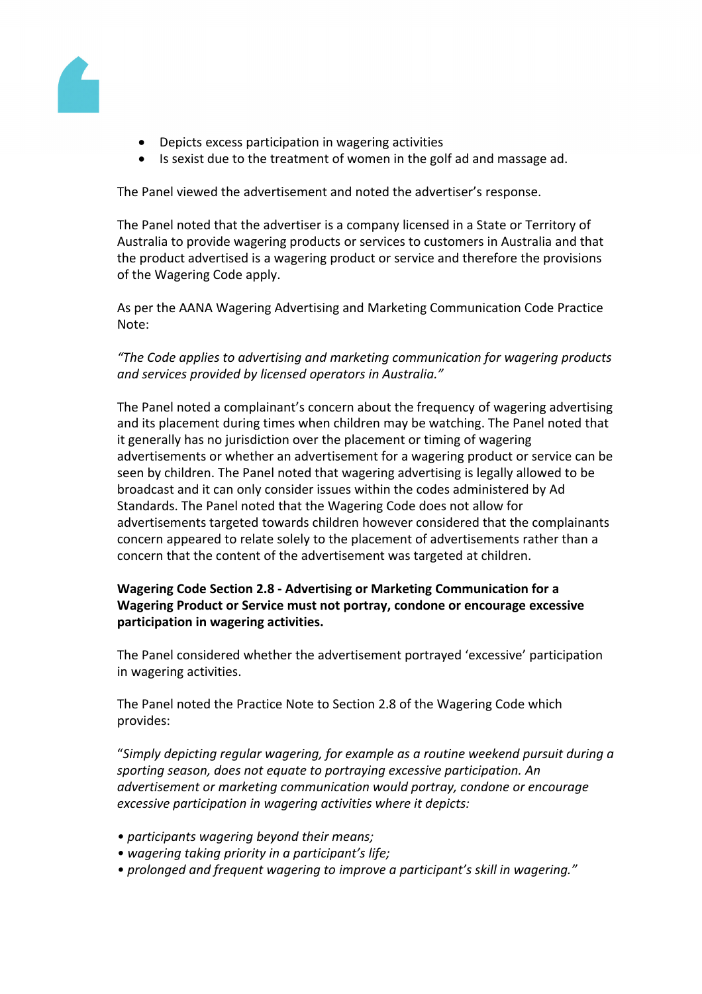

- Depicts excess participation in wagering activities
- Is sexist due to the treatment of women in the golf ad and massage ad.

The Panel viewed the advertisement and noted the advertiser's response.

The Panel noted that the advertiser is a company licensed in a State or Territory of Australia to provide wagering products or services to customers in Australia and that the product advertised is a wagering product or service and therefore the provisions of the Wagering Code apply.

As per the AANA Wagering Advertising and Marketing Communication Code Practice Note:

# *"The Code applies to advertising and marketing communication for wagering products and services provided by licensed operators in Australia."*

The Panel noted a complainant's concern about the frequency of wagering advertising and its placement during times when children may be watching. The Panel noted that it generally has no jurisdiction over the placement or timing of wagering advertisements or whether an advertisement for a wagering product or service can be seen by children. The Panel noted that wagering advertising is legally allowed to be broadcast and it can only consider issues within the codes administered by Ad Standards. The Panel noted that the Wagering Code does not allow for advertisements targeted towards children however considered that the complainants concern appeared to relate solely to the placement of advertisements rather than a concern that the content of the advertisement was targeted at children.

# **Wagering Code Section 2.8 - Advertising or Marketing Communication for a Wagering Product or Service must not portray, condone or encourage excessive participation in wagering activities.**

The Panel considered whether the advertisement portrayed 'excessive' participation in wagering activities.

The Panel noted the Practice Note to Section 2.8 of the Wagering Code which provides:

"*Simply depicting regular wagering, for example as a routine weekend pursuit during a sporting season, does not equate to portraying excessive participation. An advertisement or marketing communication would portray, condone or encourage excessive participation in wagering activities where it depicts:*

- *• participants wagering beyond their means;*
- *• wagering taking priority in a participant's life;*
- *• prolonged and frequent wagering to improve a participant's skill in wagering."*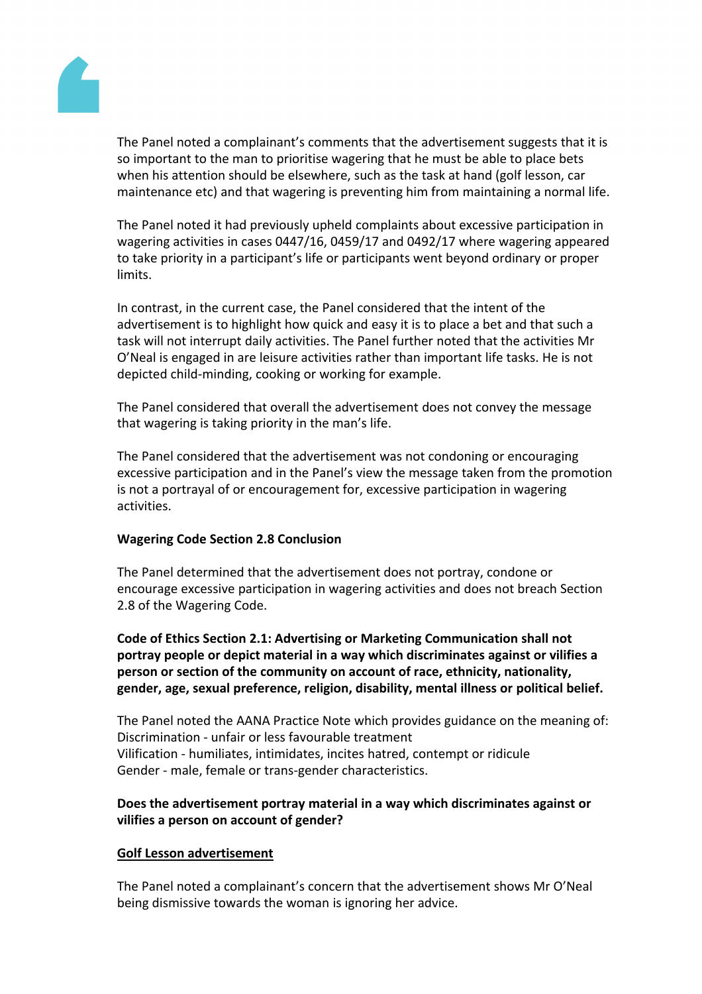

The Panel noted a complainant's comments that the advertisement suggests that it is so important to the man to prioritise wagering that he must be able to place bets when his attention should be elsewhere, such as the task at hand (golf lesson, car maintenance etc) and that wagering is preventing him from maintaining a normal life.

The Panel noted it had previously upheld complaints about excessive participation in wagering activities in cases 0447/16, 0459/17 and 0492/17 where wagering appeared to take priority in a participant's life or participants went beyond ordinary or proper limits.

In contrast, in the current case, the Panel considered that the intent of the advertisement is to highlight how quick and easy it is to place a bet and that such a task will not interrupt daily activities. The Panel further noted that the activities Mr O'Neal is engaged in are leisure activities rather than important life tasks. He is not depicted child-minding, cooking or working for example.

The Panel considered that overall the advertisement does not convey the message that wagering is taking priority in the man's life.

The Panel considered that the advertisement was not condoning or encouraging excessive participation and in the Panel's view the message taken from the promotion is not a portrayal of or encouragement for, excessive participation in wagering activities.

# **Wagering Code Section 2.8 Conclusion**

The Panel determined that the advertisement does not portray, condone or encourage excessive participation in wagering activities and does not breach Section 2.8 of the Wagering Code.

**Code of Ethics Section 2.1: Advertising or Marketing Communication shall not portray people or depict material in a way which discriminates against or vilifies a person or section of the community on account of race, ethnicity, nationality, gender, age, sexual preference, religion, disability, mental illness or political belief.**

The Panel noted the AANA Practice Note which provides guidance on the meaning of: Discrimination - unfair or less favourable treatment Vilification - humiliates, intimidates, incites hatred, contempt or ridicule Gender - male, female or trans-gender characteristics.

# **Does the advertisement portray material in a way which discriminates against or vilifies a person on account of gender?**

# **Golf Lesson advertisement**

The Panel noted a complainant's concern that the advertisement shows Mr O'Neal being dismissive towards the woman is ignoring her advice.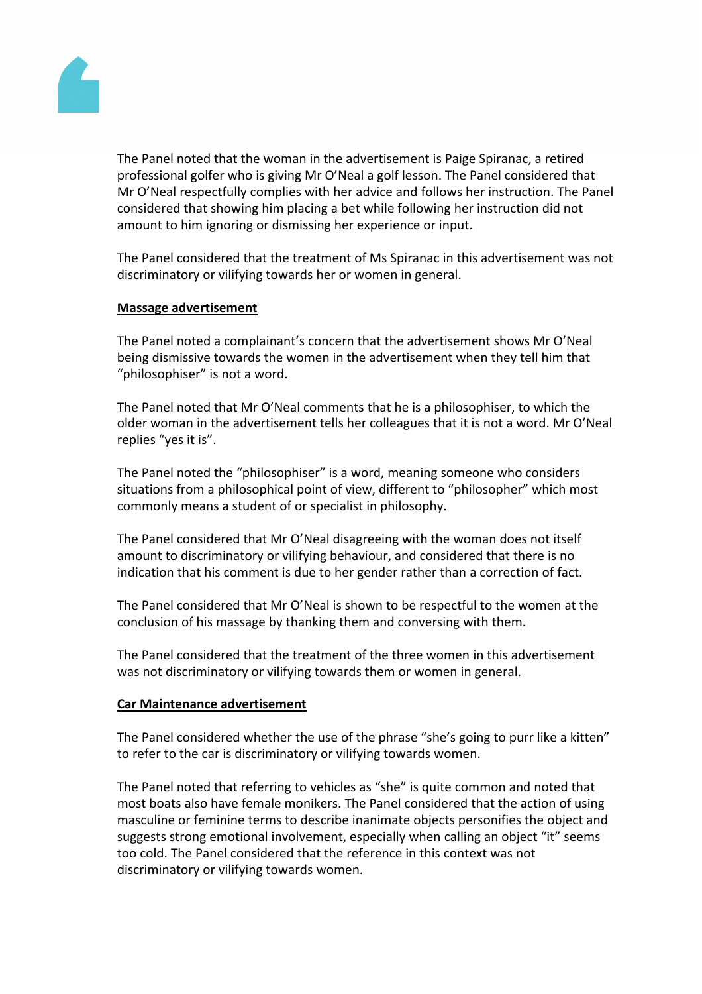

The Panel noted that the woman in the advertisement is Paige Spiranac, a retired professional golfer who is giving Mr O'Neal a golf lesson. The Panel considered that Mr O'Neal respectfully complies with her advice and follows her instruction. The Panel considered that showing him placing a bet while following her instruction did not amount to him ignoring or dismissing her experience or input.

The Panel considered that the treatment of Ms Spiranac in this advertisement was not discriminatory or vilifying towards her or women in general.

# **Massage advertisement**

The Panel noted a complainant's concern that the advertisement shows Mr O'Neal being dismissive towards the women in the advertisement when they tell him that "philosophiser" is not a word.

The Panel noted that Mr O'Neal comments that he is a philosophiser, to which the older woman in the advertisement tells her colleagues that it is not a word. Mr O'Neal replies "yes it is".

The Panel noted the "philosophiser" is a word, meaning someone who considers situations from a philosophical point of view, different to "philosopher" which most commonly means a student of or specialist in philosophy.

The Panel considered that Mr O'Neal disagreeing with the woman does not itself amount to discriminatory or vilifying behaviour, and considered that there is no indication that his comment is due to her gender rather than a correction of fact.

The Panel considered that Mr O'Neal is shown to be respectful to the women at the conclusion of his massage by thanking them and conversing with them.

The Panel considered that the treatment of the three women in this advertisement was not discriminatory or vilifying towards them or women in general.

#### **Car Maintenance advertisement**

The Panel considered whether the use of the phrase "she's going to purr like a kitten" to refer to the car is discriminatory or vilifying towards women.

The Panel noted that referring to vehicles as "she" is quite common and noted that most boats also have female monikers. The Panel considered that the action of using masculine or feminine terms to describe inanimate objects personifies the object and suggests strong emotional involvement, especially when calling an object "it" seems too cold. The Panel considered that the reference in this context was not discriminatory or vilifying towards women.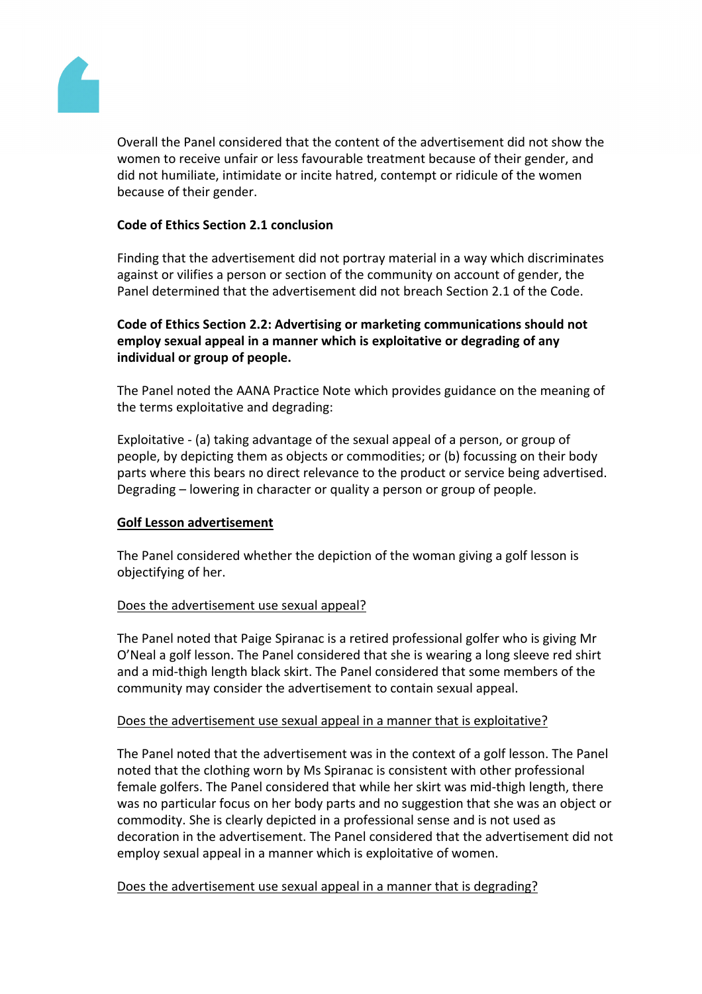

Overall the Panel considered that the content of the advertisement did not show the women to receive unfair or less favourable treatment because of their gender, and did not humiliate, intimidate or incite hatred, contempt or ridicule of the women because of their gender.

# **Code of Ethics Section 2.1 conclusion**

Finding that the advertisement did not portray material in a way which discriminates against or vilifies a person or section of the community on account of gender, the Panel determined that the advertisement did not breach Section 2.1 of the Code.

# **Code of Ethics Section 2.2: Advertising or marketing communications should not employ sexual appeal in a manner which is exploitative or degrading of any individual or group of people.**

The Panel noted the AANA Practice Note which provides guidance on the meaning of the terms exploitative and degrading:

Exploitative - (a) taking advantage of the sexual appeal of a person, or group of people, by depicting them as objects or commodities; or (b) focussing on their body parts where this bears no direct relevance to the product or service being advertised. Degrading – lowering in character or quality a person or group of people.

# **Golf Lesson advertisement**

The Panel considered whether the depiction of the woman giving a golf lesson is objectifying of her.

# Does the advertisement use sexual appeal?

The Panel noted that Paige Spiranac is a retired professional golfer who is giving Mr O'Neal a golf lesson. The Panel considered that she is wearing a long sleeve red shirt and a mid-thigh length black skirt. The Panel considered that some members of the community may consider the advertisement to contain sexual appeal.

# Does the advertisement use sexual appeal in a manner that is exploitative?

The Panel noted that the advertisement was in the context of a golf lesson. The Panel noted that the clothing worn by Ms Spiranac is consistent with other professional female golfers. The Panel considered that while her skirt was mid-thigh length, there was no particular focus on her body parts and no suggestion that she was an object or commodity. She is clearly depicted in a professional sense and is not used as decoration in the advertisement. The Panel considered that the advertisement did not employ sexual appeal in a manner which is exploitative of women.

# Does the advertisement use sexual appeal in a manner that is degrading?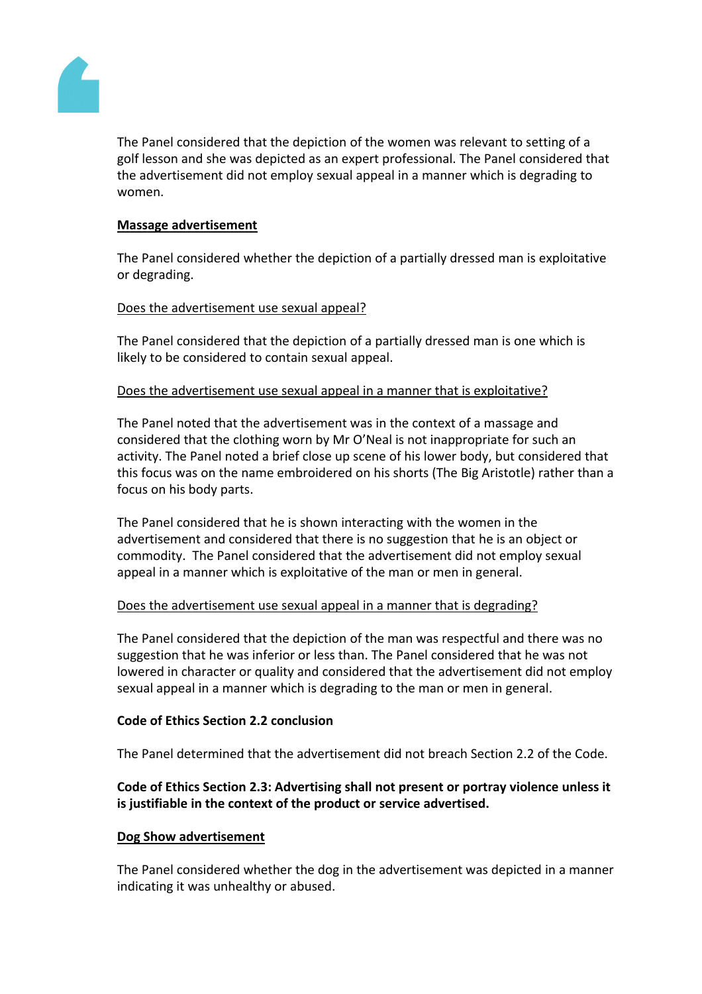

The Panel considered that the depiction of the women was relevant to setting of a golf lesson and she was depicted as an expert professional. The Panel considered that the advertisement did not employ sexual appeal in a manner which is degrading to women.

# **Massage advertisement**

The Panel considered whether the depiction of a partially dressed man is exploitative or degrading.

# Does the advertisement use sexual appeal?

The Panel considered that the depiction of a partially dressed man is one which is likely to be considered to contain sexual appeal.

# Does the advertisement use sexual appeal in a manner that is exploitative?

The Panel noted that the advertisement was in the context of a massage and considered that the clothing worn by Mr O'Neal is not inappropriate for such an activity. The Panel noted a brief close up scene of his lower body, but considered that this focus was on the name embroidered on his shorts (The Big Aristotle) rather than a focus on his body parts.

The Panel considered that he is shown interacting with the women in the advertisement and considered that there is no suggestion that he is an object or commodity. The Panel considered that the advertisement did not employ sexual appeal in a manner which is exploitative of the man or men in general.

# Does the advertisement use sexual appeal in a manner that is degrading?

The Panel considered that the depiction of the man was respectful and there was no suggestion that he was inferior or less than. The Panel considered that he was not lowered in character or quality and considered that the advertisement did not employ sexual appeal in a manner which is degrading to the man or men in general.

# **Code of Ethics Section 2.2 conclusion**

The Panel determined that the advertisement did not breach Section 2.2 of the Code.

# **Code of Ethics Section 2.3: Advertising shall not present or portray violence unless it is justifiable in the context of the product or service advertised.**

# **Dog Show advertisement**

The Panel considered whether the dog in the advertisement was depicted in a manner indicating it was unhealthy or abused.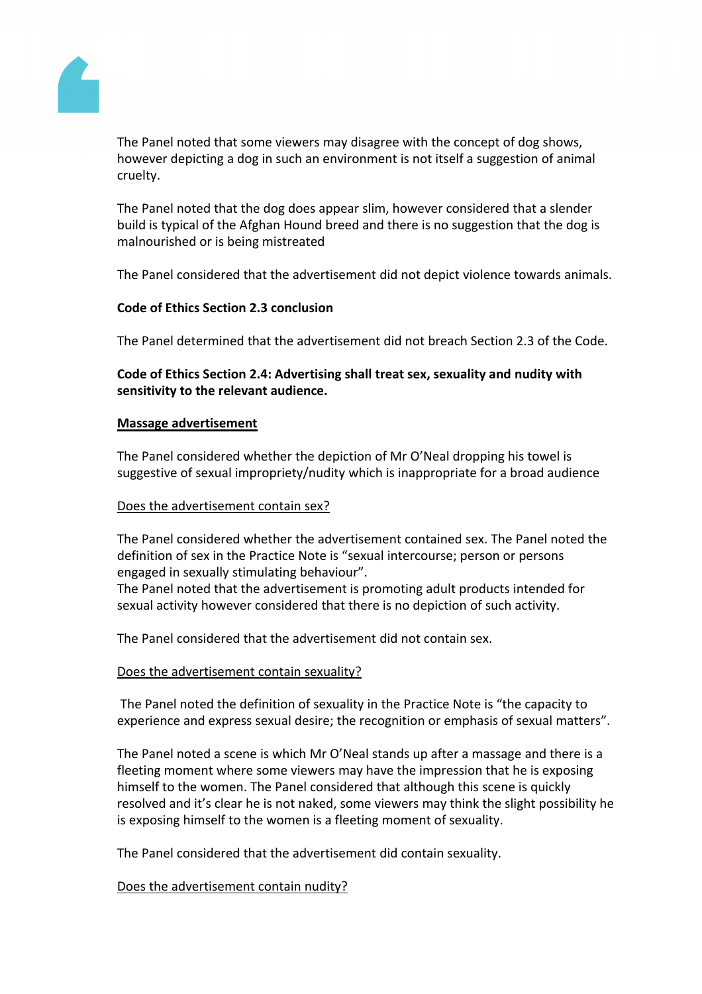

The Panel noted that some viewers may disagree with the concept of dog shows, however depicting a dog in such an environment is not itself a suggestion of animal cruelty.

The Panel noted that the dog does appear slim, however considered that a slender build is typical of the Afghan Hound breed and there is no suggestion that the dog is malnourished or is being mistreated

The Panel considered that the advertisement did not depict violence towards animals.

# **Code of Ethics Section 2.3 conclusion**

The Panel determined that the advertisement did not breach Section 2.3 of the Code.

**Code of Ethics Section 2.4: Advertising shall treat sex, sexuality and nudity with sensitivity to the relevant audience.**

# **Massage advertisement**

The Panel considered whether the depiction of Mr O'Neal dropping his towel is suggestive of sexual impropriety/nudity which is inappropriate for a broad audience

# Does the advertisement contain sex?

The Panel considered whether the advertisement contained sex. The Panel noted the definition of sex in the Practice Note is "sexual intercourse; person or persons engaged in sexually stimulating behaviour".

The Panel noted that the advertisement is promoting adult products intended for sexual activity however considered that there is no depiction of such activity.

The Panel considered that the advertisement did not contain sex.

# Does the advertisement contain sexuality?

The Panel noted the definition of sexuality in the Practice Note is "the capacity to experience and express sexual desire; the recognition or emphasis of sexual matters".

The Panel noted a scene is which Mr O'Neal stands up after a massage and there is a fleeting moment where some viewers may have the impression that he is exposing himself to the women. The Panel considered that although this scene is quickly resolved and it's clear he is not naked, some viewers may think the slight possibility he is exposing himself to the women is a fleeting moment of sexuality.

The Panel considered that the advertisement did contain sexuality.

# Does the advertisement contain nudity?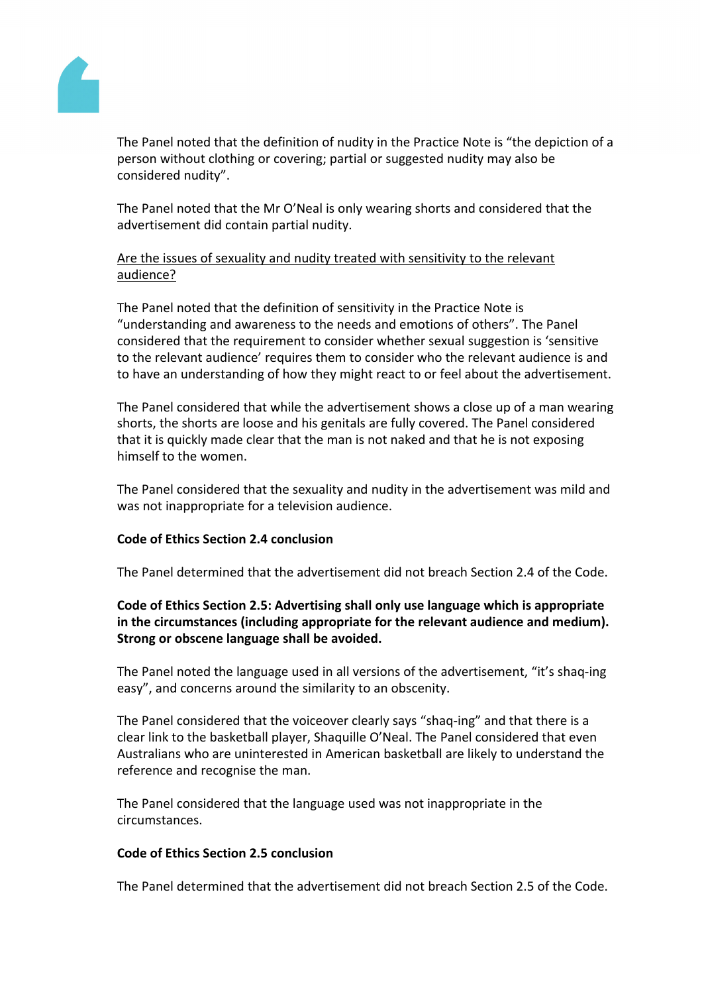

The Panel noted that the definition of nudity in the Practice Note is "the depiction of a person without clothing or covering; partial or suggested nudity may also be considered nudity".

The Panel noted that the Mr O'Neal is only wearing shorts and considered that the advertisement did contain partial nudity.

# Are the issues of sexuality and nudity treated with sensitivity to the relevant audience?

The Panel noted that the definition of sensitivity in the Practice Note is "understanding and awareness to the needs and emotions of others". The Panel considered that the requirement to consider whether sexual suggestion is 'sensitive to the relevant audience' requires them to consider who the relevant audience is and to have an understanding of how they might react to or feel about the advertisement.

The Panel considered that while the advertisement shows a close up of a man wearing shorts, the shorts are loose and his genitals are fully covered. The Panel considered that it is quickly made clear that the man is not naked and that he is not exposing himself to the women.

The Panel considered that the sexuality and nudity in the advertisement was mild and was not inappropriate for a television audience.

# **Code of Ethics Section 2.4 conclusion**

The Panel determined that the advertisement did not breach Section 2.4 of the Code.

**Code of Ethics Section 2.5: Advertising shall only use language which is appropriate in the circumstances (including appropriate for the relevant audience and medium). Strong or obscene language shall be avoided.**

The Panel noted the language used in all versions of the advertisement, "it's shaq-ing easy", and concerns around the similarity to an obscenity.

The Panel considered that the voiceover clearly says "shaq-ing" and that there is a clear link to the basketball player, Shaquille O'Neal. The Panel considered that even Australians who are uninterested in American basketball are likely to understand the reference and recognise the man.

The Panel considered that the language used was not inappropriate in the circumstances.

# **Code of Ethics Section 2.5 conclusion**

The Panel determined that the advertisement did not breach Section 2.5 of the Code.